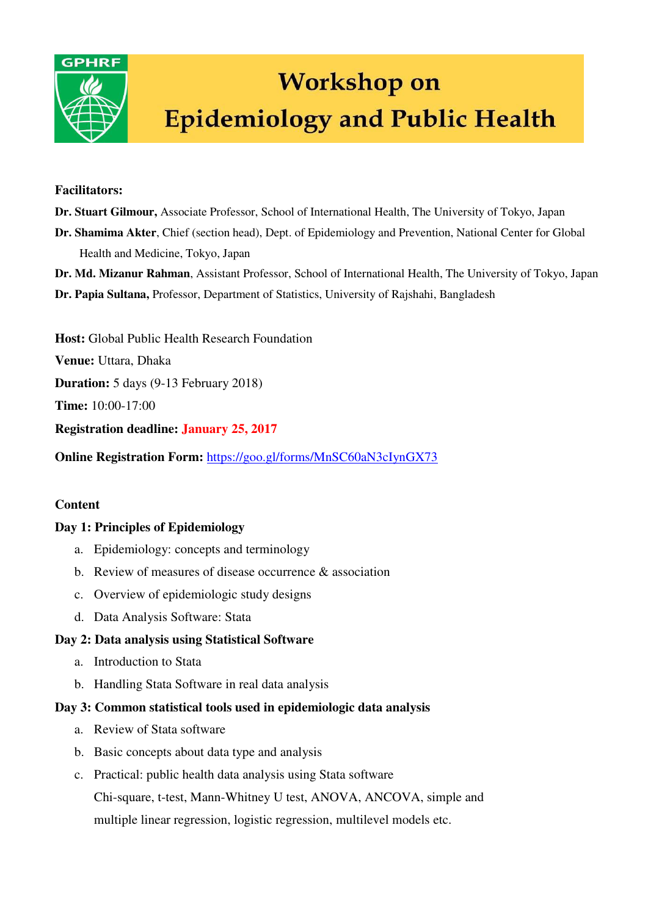

# **Workshop on Epidemiology and Public Health**

#### **Facilitators:**

- **Dr. Stuart Gilmour,** Associate Professor, School of International Health, The University of Tokyo, Japan
- **Dr. Shamima Akter**, Chief (section head), Dept. of Epidemiology and Prevention, National Center for Global Health and Medicine, Tokyo, Japan
- **Dr. Md. Mizanur Rahman**, Assistant Professor, School of International Health, The University of Tokyo, Japan
- **Dr. Papia Sultana,** Professor, Department of Statistics, University of Rajshahi, Bangladesh

**Host:** Global Public Health Research Foundation

**Venue:** Uttara, Dhaka

**Duration:** 5 days (9-13 February 2018)

**Time:** 10:00-17:00

**Registration deadline: January 25, 2017** 

**Online Registration Form:** <https://goo.gl/forms/MnSC60aN3cIynGX73>

## **Content**

## **Day 1: Principles of Epidemiology**

- a. Epidemiology: concepts and terminology
- b. Review of measures of disease occurrence & association
- c. Overview of epidemiologic study designs
- d. Data Analysis Software: Stata

## **Day 2: Data analysis using Statistical Software**

- a. Introduction to Stata
- b. Handling Stata Software in real data analysis

## **Day 3: Common statistical tools used in epidemiologic data analysis**

- a. Review of Stata software
- b. Basic concepts about data type and analysis
- c. Practical: public health data analysis using Stata software Chi-square, t-test, Mann-Whitney U test, ANOVA, ANCOVA, simple and multiple linear regression, logistic regression, multilevel models etc.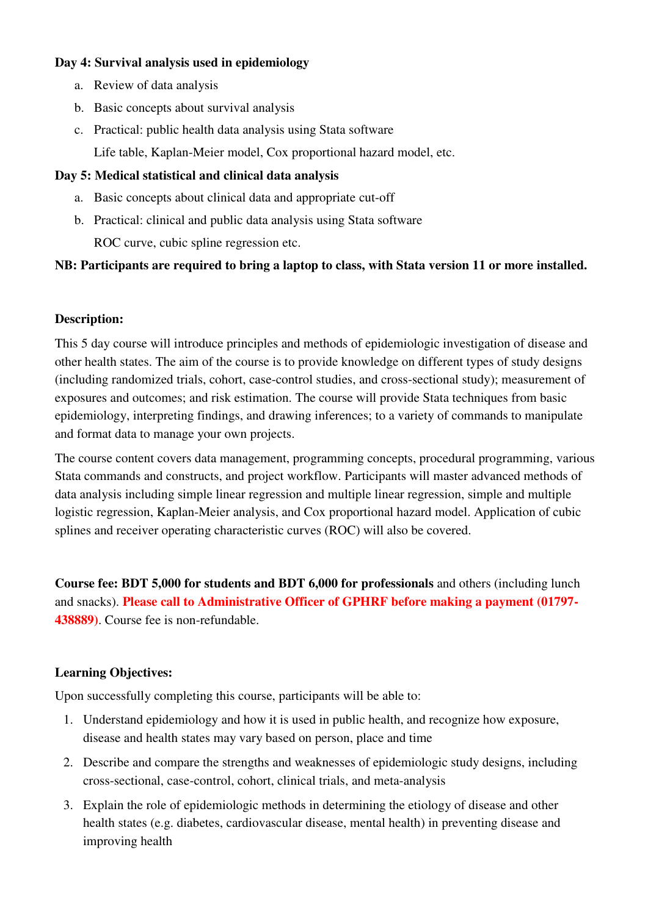## **Day 4: Survival analysis used in epidemiology**

- a. Review of data analysis
- b. Basic concepts about survival analysis
- c. Practical: public health data analysis using Stata software Life table, Kaplan-Meier model, Cox proportional hazard model, etc.

## **Day 5: Medical statistical and clinical data analysis**

- a. Basic concepts about clinical data and appropriate cut-off
- b. Practical: clinical and public data analysis using Stata software

ROC curve, cubic spline regression etc.

## **NB: Participants are required to bring a laptop to class, with Stata version 11 or more installed.**

## **Description:**

This 5 day course will introduce principles and methods of epidemiologic investigation of disease and other health states. The aim of the course is to provide knowledge on different types of study designs (including randomized trials, cohort, case-control studies, and cross-sectional study); measurement of exposures and outcomes; and risk estimation. The course will provide Stata techniques from basic epidemiology, interpreting findings, and drawing inferences; to a variety of commands to manipulate and format data to manage your own projects.

The course content covers data management, programming concepts, procedural programming, various Stata commands and constructs, and project workflow. Participants will master advanced methods of data analysis including simple linear regression and multiple linear regression, simple and multiple logistic regression, Kaplan-Meier analysis, and Cox proportional hazard model. Application of cubic splines and receiver operating characteristic curves (ROC) will also be covered.

**Course fee: BDT 5,000 for students and BDT 6,000 for professionals** and others (including lunch and snacks). **Please call to Administrative Officer of GPHRF before making a payment (01797- 438889)**. Course fee is non-refundable.

## **Learning Objectives:**

Upon successfully completing this course, participants will be able to:

- 1. Understand epidemiology and how it is used in public health, and recognize how exposure, disease and health states may vary based on person, place and time
- 2. Describe and compare the strengths and weaknesses of epidemiologic study designs, including cross-sectional, case-control, cohort, clinical trials, and meta-analysis
- 3. Explain the role of epidemiologic methods in determining the etiology of disease and other health states (e.g. diabetes, cardiovascular disease, mental health) in preventing disease and improving health